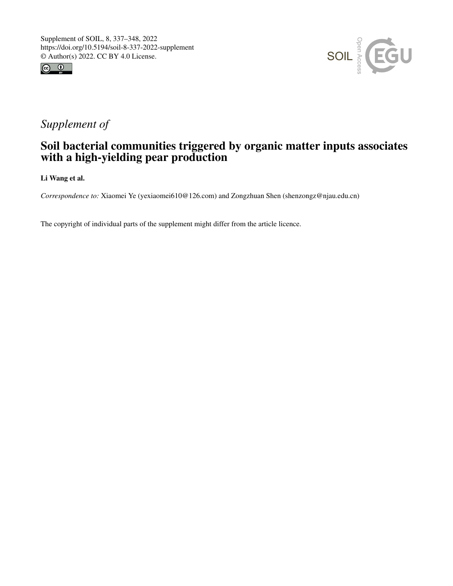



## *Supplement of*

## Soil bacterial communities triggered by organic matter inputs associates with a high-yielding pear production

Li Wang et al.

*Correspondence to:* Xiaomei Ye (yexiaomei610@126.com) and Zongzhuan Shen (shenzongz@njau.edu.cn)

The copyright of individual parts of the supplement might differ from the article licence.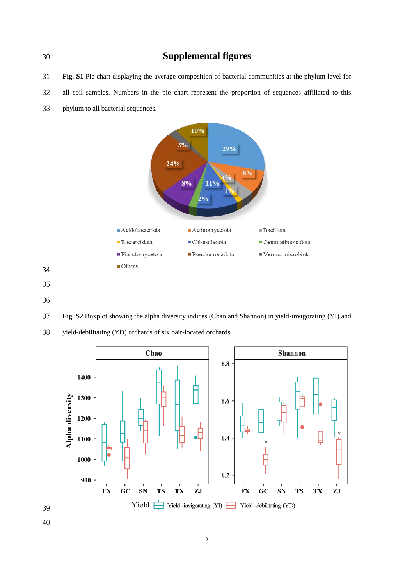**Supplemental figures**

**Fig. S1** Pie chart displaying the average composition of bacterial communities at the phylum level for

- all soil samples. Numbers in the pie chart represent the proportion of sequences affiliated to this
- phylum to all bacterial sequences.



 

**Fig. S2** Boxplot showing the alpha diversity indices (Chao and Shannon) in yield-invigorating (YI) and



yield-debilitating (YD) orchards of six pair-located orchards.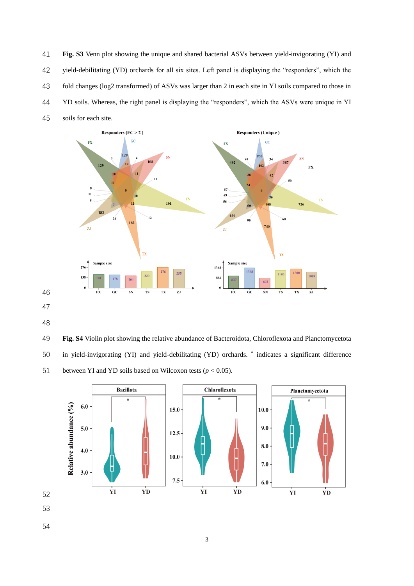**Fig. S3** Venn plot showing the unique and shared bacterial ASVs between yield-invigorating (YI) and yield-debilitating (YD) orchards for all six sites. Left panel is displaying the "responders", which the fold changes (log2 transformed) of ASVs was larger than 2 in each site in YI soils compared to those in YD soils. Whereas, the right panel is displaying the "responders", which the ASVs were unique in YI soils for each site.



- 
- 

 **Fig. S4** Violin plot showing the relative abundance of Bacteroidota, Chloroflexota and Planctomycetota 50 in yield-invigorating (YI) and yield-debilitating (YD) orchards. \* indicates a significant difference 51 between YI and YD soils based on Wilcoxon tests  $(p < 0.05)$ .

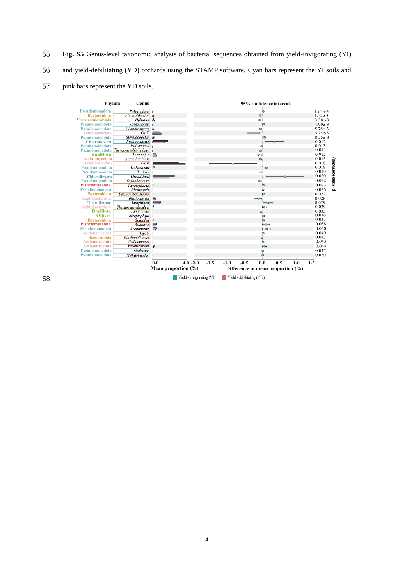**Fig. S5** Genus-level taxonomic analysis of bacterial sequences obtained from yield-invigorating (YI) and yield-debilitating (YD) orchards using the STAMP software. Cyan bars represent the YI soils and pink bars represent the YD soils.

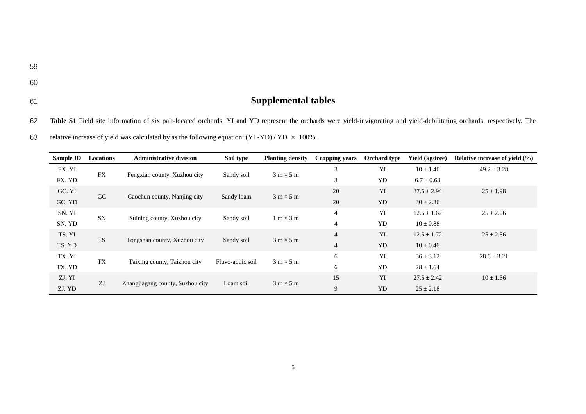61 **Supplemental tables**

62 **Table S1** Field site information of six pair-located orchards. YI and YD represent the orchards were yield-invigorating and yield-debilitating orchards, respectively. The

63 relative increase of yield was calculated by as the following equation:  $(YI - YD) / YD \times 100\%$ .

| Sample ID | Locations | <b>Administrative division</b>   | Soil type        | <b>Planting density</b>          | Cropping years | <b>Orchard type</b> | Yield (kg/tree) | Relative increase of yield $(\% )$ |
|-----------|-----------|----------------------------------|------------------|----------------------------------|----------------|---------------------|-----------------|------------------------------------|
| FX. YI    | <b>FX</b> |                                  |                  | $3 \text{ m} \times 5 \text{ m}$ | 3              | YI                  | $10 \pm 1.46$   | $49.2 \pm 3.28$                    |
| FX. YD    |           | Fengxian county, Xuzhou city     | Sandy soil       |                                  | 3              | <b>YD</b>           | $6.7 \pm 0.68$  |                                    |
| GC. YI    |           |                                  |                  |                                  | 20             | YI                  | $37.5 \pm 2.94$ | $25 \pm 1.98$                      |
| GC. YD    | GC        | Gaochun county, Nanjing city     | Sandy loam       | $3 m \times 5 m$                 | 20             | YD.                 | $30 \pm 2.36$   |                                    |
| SN. YI    |           |                                  |                  |                                  | $\overline{4}$ | YI                  | $12.5 \pm 1.62$ | $25 \pm 2.06$                      |
| SN. YD    | <b>SN</b> | Suining county, Xuzhou city      | Sandy soil       | $1 \text{ m} \times 3 \text{ m}$ | 4              | <b>YD</b>           | $10 \pm 0.88$   |                                    |
| TS. YI    | <b>TS</b> |                                  |                  |                                  | $\overline{4}$ | YI                  | $12.5 \pm 1.72$ | $25 \pm 2.56$                      |
| TS. YD    |           | Tongshan county, Xuzhou city     | Sandy soil       | $3 m \times 5 m$                 | 4              | <b>YD</b>           | $10 \pm 0.46$   |                                    |
| TX. YI    | <b>TX</b> |                                  |                  |                                  | 6              | YI                  | $36 \pm 3.12$   | $28.6 \pm 3.21$                    |
| TX. YD    |           | Taixing county, Taizhou city     | Fluvo-aquic soil | $3 \text{ m} \times 5 \text{ m}$ | 6              | <b>YD</b>           | $28 \pm 1.64$   |                                    |
| ZJ. YI    |           |                                  |                  |                                  | 15             | YI                  | $27.5 \pm 2.42$ | $10 \pm 1.56$                      |
| ZJ. YD    | ZJ        | Zhangjiagang county, Suzhou city | Loam soil        | $3 m \times 5 m$                 | 9              | <b>YD</b>           | $25 \pm 2.18$   |                                    |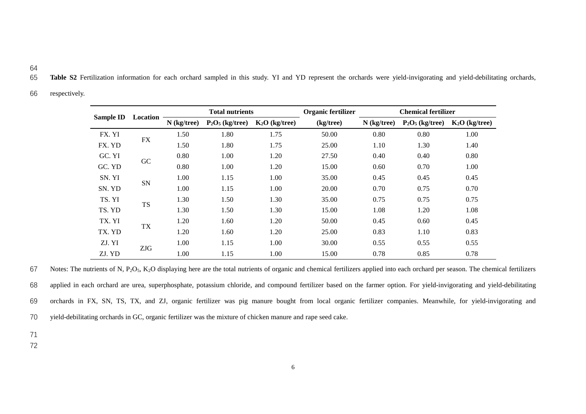- 64
- 65 **Table S2** Fertilization information for each orchard sampled in this study. YI and YD represent the orchards were yield-invigorating and yield-debilitating orchards,
- 66 respectively.

| Sample ID |           | <b>Total nutrients</b> |                    |                 | Organic fertilizer | <b>Chemical fertilizer</b> |                    |                 |  |
|-----------|-----------|------------------------|--------------------|-----------------|--------------------|----------------------------|--------------------|-----------------|--|
|           | Location  | $N$ (kg/tree)          | $P_2O_5$ (kg/tree) | $K2O$ (kg/tree) | (kg/tree)          | $N$ (kg/tree)              | $P_2O_5$ (kg/tree) | $K2O$ (kg/tree) |  |
| FX. YI    |           | 1.50                   | 1.80               | 1.75            | 50.00              | 0.80                       | 0.80               | 1.00            |  |
| FX. YD    | FX        | 1.50                   | 1.80               | 1.75            | 25.00              | 1.10                       | 1.30               | 1.40            |  |
| GC. YI    | <b>GC</b> | 0.80                   | 1.00               | 1.20            | 27.50              | 0.40                       | 0.40               | 0.80            |  |
| GC. YD    |           | 0.80                   | 1.00               | 1.20            | 15.00              | 0.60                       | 0.70               | 1.00            |  |
| SN. YI    |           | 1.00                   | 1.15               | 1.00            | 35.00              | 0.45                       | 0.45               | 0.45            |  |
| SN. YD    | <b>SN</b> | 1.00                   | 1.15               | 1.00            | 20.00              | 0.70                       | 0.75               | 0.70            |  |
| TS. YI    |           | 1.30                   | 1.50               | 1.30            | 35.00              | 0.75                       | 0.75               | 0.75            |  |
| TS. YD    | <b>TS</b> | 1.30                   | 1.50               | 1.30            | 15.00              | 1.08                       | 1.20               | 1.08            |  |
| TX. YI    |           | 1.20                   | 1.60               | 1.20            | 50.00              | 0.45                       | 0.60               | 0.45            |  |
| TX. YD    | TX        | 1.20                   | 1.60               | 1.20            | 25.00              | 0.83                       | 1.10               | 0.83            |  |
| ZJ. YI    |           | 1.00                   | 1.15               | 1.00            | 30.00              | 0.55                       | 0.55               | 0.55            |  |
| ZJ. YD    | ZJG       | 1.00                   | 1.15               | 1.00            | 15.00              | 0.78                       | 0.85               | 0.78            |  |

67 Notes: The nutrients of N, P<sub>2</sub>O<sub>5</sub>, K<sub>2</sub>O displaying here are the total nutrients of organic and chemical fertilizers applied into each orchard per season. The chemical fertilizers 68 applied in each orchard are urea, superphosphate, potassium chloride, and compound fertilizer based on the farmer option. For yield-invigorating and yield-debilitating 69 orchards in FX, SN, TS, TX, and ZJ, organic fertilizer was pig manure bought from local organic fertilizer companies. Meanwhile, for yield-invigorating and 70 yield-debilitating orchards in GC, organic fertilizer was the mixture of chicken manure and rape seed cake.

71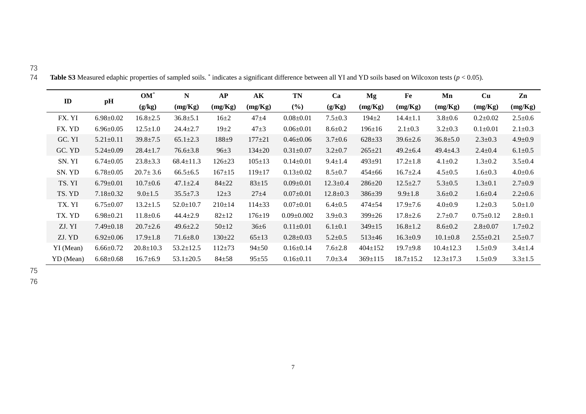|               |                 | $OM^*$          | N               | AP         | $\mathbf{A}\mathbf{K}$ | <b>TN</b>        | Ca             | Mg           | Fe              | Mn              | Cu              | Zn            |
|---------------|-----------------|-----------------|-----------------|------------|------------------------|------------------|----------------|--------------|-----------------|-----------------|-----------------|---------------|
| $\mathbf{ID}$ | pH              | (g/kg)          | (mg/Kg)         | (mg/Kg)    | (mg/Kg)                | (%)              | (g/Kg)         | (mg/Kg)      | (mg/Kg)         | (mg/Kg)         | (mg/Kg)         | (mg/Kg)       |
| FX. YI        | $6.98 + 0.02$   | $16.8 \pm 2.5$  | $36.8 + 5.1$    | $16 + 2$   | $47 + 4$               | $0.08 \pm 0.01$  | $7.5 \pm 0.3$  | $194 + 2$    | $14.4 \pm 1.1$  | $3.8 \pm 0.6$   | $0.2 \pm 0.02$  | $2.5 \pm 0.6$ |
| FX. YD        | $6.96 \pm 0.05$ | $12.5 \pm 1.0$  | $24.4 \pm 2.7$  | $19\pm2$   | $47 + 3$               | $0.06 \pm 0.01$  | $8.6 + 0.2$    | $196 \pm 16$ | $2.1 \pm 0.3$   | $3.2 \pm 0.3$   | $0.1 \pm 0.01$  | $2.1 \pm 0.3$ |
| GC. YI        | $5.21 \pm 0.11$ | $39.8 \pm 7.5$  | $65.1 \pm 2.3$  | $188 + 9$  | $177 + 21$             | $0.46 + 0.06$    | $3.7 \pm 0.6$  | $628 + 33$   | $39.6 \pm 2.6$  | $36.8 \pm 5.0$  | $2.3 \pm 0.3$   | $4.9 \pm 0.9$ |
| GC. YD        | $5.24 \pm 0.09$ | $28.4 \pm 1.7$  | $76.6 \pm 3.8$  | $96 + 3$   | $134 + 20$             | $0.31 + 0.07$    | $3.2 + 0.7$    | $265 + 21$   | $49.2 + 6.4$    | $49.4 \pm 4.3$  | $2.4 \pm 0.4$   | $6.1 \pm 0.5$ |
| SN. YI        | $6.74 \pm 0.05$ | $23.8 + 3.3$    | $68.4 \pm 11.3$ | $126 + 23$ | $105 + 13$             | $0.14 \pm 0.01$  | $9.4 \pm 1.4$  | $493 + 91$   | $17.2 \pm 1.8$  | $4.1 \pm 0.2$   | $1.3 \pm 0.2$   | $3.5 + 0.4$   |
| SN. YD        | $6.78 \pm 0.05$ | $20.7 \pm 3.6$  | $66.5 \pm 6.5$  | $167 + 15$ | $119 \pm 17$           | $0.13 \pm 0.02$  | $8.5 \pm 0.7$  | $454 + 66$   | $16.7 \pm 2.4$  | $4.5 \pm 0.5$   | $1.6 + 0.3$     | $4.0 + 0.6$   |
| TS. YI        | $6.79 \pm 0.01$ | $10.7 \pm 0.6$  | $47.1 \pm 2.4$  | $84 + 22$  | $83 + 15$              | $0.09 \pm 0.01$  | $12.3 \pm 0.4$ | $286 \pm 20$ | $12.5 \pm 2.7$  | $5.3 + 0.5$     | $1.3 \pm 0.1$   | $2.7 \pm 0.9$ |
| TS. YD        | $7.18 \pm 0.32$ | $9.0 \pm 1.5$   | $35.5 \pm 7.3$  | $12 + 3$   | $27 + 4$               | $0.07 \pm 0.01$  | $12.8 \pm 0.3$ | 386±39       | $9.9 \pm 1.8$   | $3.6 + 0.2$     | $1.6 + 0.4$     | $2.2 \pm 0.6$ |
| TX. YI        | $6.75 \pm 0.07$ | $13.2 \pm 1.5$  | $52.0 \pm 10.7$ | $210 + 14$ | $114 \pm 33$           | $0.07 + 0.01$    | $6.4 + 0.5$    | $474 + 54$   | $17.9 \pm 7.6$  | $4.0 + 0.9$     | $1.2 \pm 0.3$   | $5.0 \pm 1.0$ |
| TX. YD        | $6.98 + 0.21$   | $11.8 + 0.6$    | $44.4 \pm 2.9$  | $82 + 12$  | $176 + 19$             | $0.09 \pm 0.002$ | $3.9 + 0.3$    | 399±26       | $17.8 \pm 2.6$  | $2.7 + 0.7$     | $0.75 \pm 0.12$ | $2.8 + 0.1$   |
| ZJ. YI        | $7.49 \pm 0.18$ | $20.7 \pm 2.6$  | $49.6 \pm 2.2$  | $50 + 12$  | $36 \pm 6$             | $0.11 \pm 0.01$  | $6.1 \pm 0.1$  | $349 + 15$   | $16.8 \pm 1.2$  | $8.6 \pm 0.2$   | $2.8 \pm 0.07$  | $1.7 + 0.2$   |
| ZJ. YD        | $6.92 \pm 0.06$ | $17.9 \pm 1.8$  | $71.6 + 8.0$    | $130 + 22$ | $65 \pm 13$            | $0.28 \pm 0.03$  | $5.2 + 0.5$    | $513 \pm 46$ | $16.3 \pm 0.9$  | $10.1 \pm 0.8$  | $2.55 \pm 0.21$ | $2.5 \pm 0.7$ |
| YI (Mean)     | $6.66 \pm 0.72$ | $20.8 \pm 10.3$ | $53.2 \pm 12.5$ | $112 + 73$ | $94 + 50$              | $0.16 \pm 0.14$  | $7.6 \pm 2.8$  | $404 + 152$  | $19.7 + 9.8$    | $10.4 \pm 12.3$ | $1.5 \pm 0.9$   | $3.4 \pm 1.4$ |
| YD (Mean)     | $6.68 - 0.68$   | $16.7 + 6.9$    | $53.1 \pm 20.5$ | $84 + 58$  | $95 + 55$              | $0.16 \pm 0.11$  | $7.0 + 3.4$    | $369 + 115$  | $18.7 \pm 15.2$ | $12.3 \pm 17.3$ | $1.5 \pm 0.9$   | $3.3 \pm 1.5$ |

**Table S3** Measured edaphic properties of sampled soils. \* indicates a significant difference between all YI and YD soils based on Wilcoxon tests ( $p < 0.05$ ).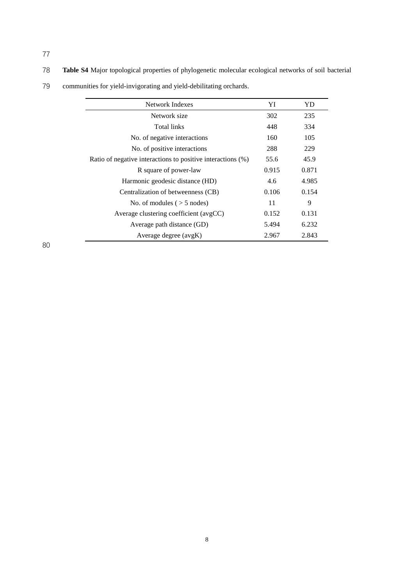78 **Table S4** Major topological properties of phylogenetic molecular ecological networks of soil bacterial

| Network Indexes                                             | YI    | YD    |
|-------------------------------------------------------------|-------|-------|
| Network size                                                | 302   | 235   |
| Total links                                                 | 448   | 334   |
| No. of negative interactions                                | 160   | 105   |
| No. of positive interactions                                | 288   | 229   |
| Ratio of negative interactions to positive interactions (%) | 55.6  | 45.9  |
| R square of power-law                                       | 0.915 | 0.871 |
| Harmonic geodesic distance (HD)                             | 4.6   | 4.985 |
| Centralization of betweenness (CB)                          | 0.106 | 0.154 |
| No. of modules $($ > 5 nodes)                               | 11    | 9     |
| Average clustering coefficient (avgCC)                      | 0.152 | 0.131 |
| Average path distance (GD)                                  | 5.494 | 6.232 |
| Average degree (avgK)                                       | 2.967 | 2.843 |

79 communities for yield-invigorating and yield-debilitating orchards.

80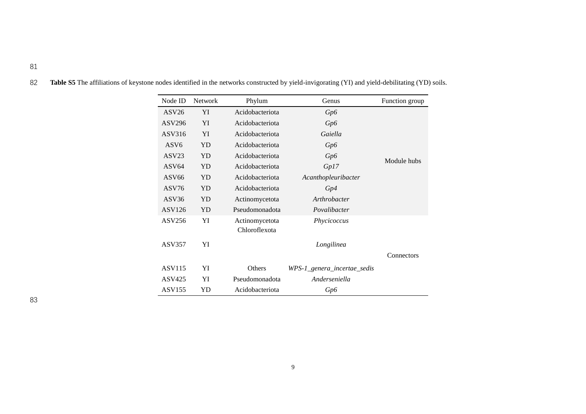| Node ID           | Network | Phylum                          | Genus                       | Function group |
|-------------------|---------|---------------------------------|-----------------------------|----------------|
| ASV26             | YI      | Acidobacteriota                 | Gp6                         |                |
| <b>ASV296</b>     | YI      | Acidobacteriota                 | Gp6                         |                |
| ASV316            | YI      | Acidobacteriota                 | Gaiella                     |                |
| ASV <sub>6</sub>  | YD      | Acidobacteriota                 | Gp6                         |                |
| ASV <sub>23</sub> | YD      | Acidobacteriota                 | Gp6                         | Module hubs    |
| ASV <sub>64</sub> | YD      | Acidobacteriota                 | Gp17                        |                |
| ASV <sub>66</sub> | YD      | Acidobacteriota                 | Acanthopleuribacter         |                |
| ASV76             | YD      | Acidobacteriota                 | Gp4                         |                |
| ASV <sub>36</sub> | YD      | Actinomycetota                  | Arthrobacter                |                |
| <b>ASV126</b>     | YD      | Pseudomonadota                  | Povalibacter                |                |
| ASV256            | YI      | Actinomycetota<br>Chloroflexota | Phycicoccus                 |                |
| <b>ASV357</b>     | YI      |                                 | Longilinea                  |                |
|                   |         |                                 |                             | Connectors     |
| <b>ASV115</b>     | YI      | Others                          | WPS-1_genera_incertae_sedis |                |
| ASV425            | YI      | Pseudomonadota                  | Anderseniella               |                |
| ASV155            | YD      | Acidobacteriota                 | Gp6                         |                |

82 Table S5 The affiliations of keystone nodes identified in the networks constructed by yield-invigorating (YI) and yield-debilitating (YD) soils.